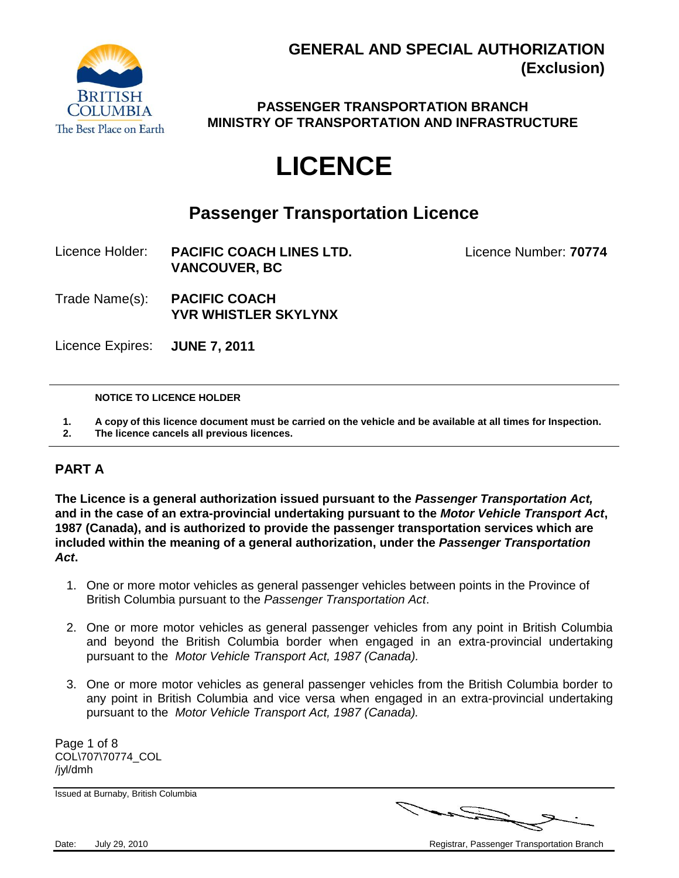

**PASSENGER TRANSPORTATION BRANCH MINISTRY OF TRANSPORTATION AND INFRASTRUCTURE**

# **LICENCE**

### **Passenger Transportation Licence**

- Licence Holder: **PACIFIC COACH LINES LTD.** Licence Number: **70774 VANCOUVER, BC**
- Trade Name(s): **PACIFIC COACH YVR WHISTLER SKYLYNX**

Licence Expires: **JUNE 7, 2011**

### **NOTICE TO LICENCE HOLDER**

**1. A copy of this licence document must be carried on the vehicle and be available at all times for Inspection.**

**2. The licence cancels all previous licences.**

### **PART A**

**The Licence is a general authorization issued pursuant to the** *Passenger Transportation Act,*  **and in the case of an extra-provincial undertaking pursuant to the** *Motor Vehicle Transport Act***, 1987 (Canada), and is authorized to provide the passenger transportation services which are included within the meaning of a general authorization, under the** *Passenger Transportation Act***.**

- 1. One or more motor vehicles as general passenger vehicles between points in the Province of British Columbia pursuant to the *Passenger Transportation Act*.
- 2. One or more motor vehicles as general passenger vehicles from any point in British Columbia and beyond the British Columbia border when engaged in an extra-provincial undertaking pursuant to the *Motor Vehicle Transport Act, 1987 (Canada).*
- 3. One or more motor vehicles as general passenger vehicles from the British Columbia border to any point in British Columbia and vice versa when engaged in an extra-provincial undertaking pursuant to the *Motor Vehicle Transport Act, 1987 (Canada).*

Page 1 of 8 COL\707\70774\_COL /jyl/dmh

Issued at Burnaby, British Columbia



Date: July 29, 2010 **Date:** July 29, 2010 **Registrary Proportation Branch** Registrar, Passenger Transportation Branch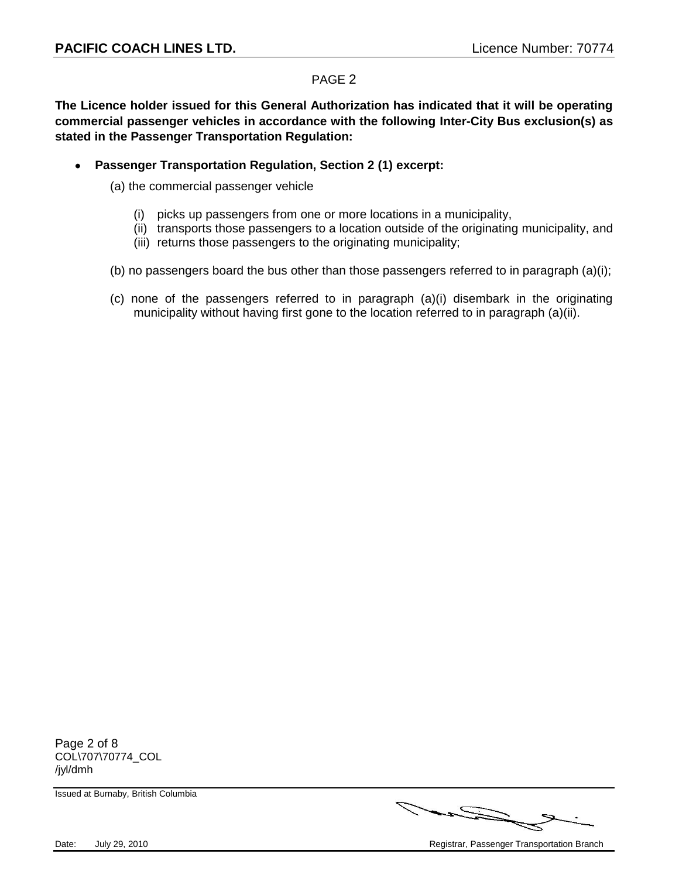**The Licence holder issued for this General Authorization has indicated that it will be operating commercial passenger vehicles in accordance with the following Inter-City Bus exclusion(s) as stated in the Passenger Transportation Regulation:**

 $\bullet$ **Passenger Transportation Regulation, Section 2 (1) excerpt:**

(a) the commercial passenger vehicle

- (i) picks up passengers from one or more locations in a municipality,
- (ii) transports those passengers to a location outside of the originating municipality, and
- (iii) returns those passengers to the originating municipality;
- (b) no passengers board the bus other than those passengers referred to in paragraph  $(a)(i)$ ;
- (c) none of the passengers referred to in paragraph (a)(i) disembark in the originating municipality without having first gone to the location referred to in paragraph (a)(ii).

Page 2 of 8 COL\707\70774\_COL /jyl/dmh

Issued at Burnaby, British Columbia



Date: July 29, 2010 **Date:** July 29, 2010 **Registrary Proportation Branch** Registrar, Passenger Transportation Branch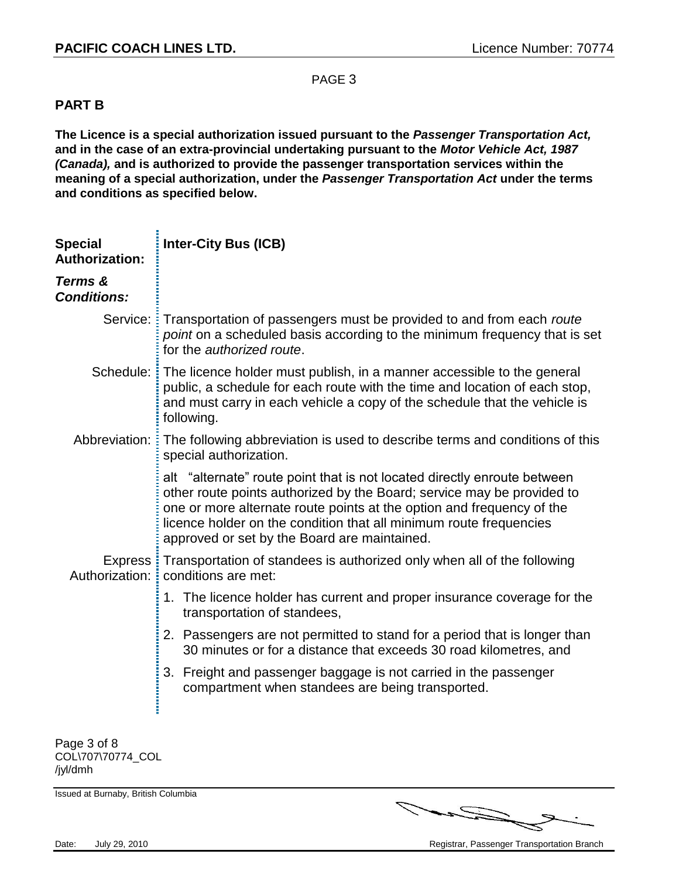### **PART B**

**The Licence is a special authorization issued pursuant to the** *Passenger Transportation Act,*  **and in the case of an extra-provincial undertaking pursuant to the** *Motor Vehicle Act, 1987 (Canada),* **and is authorized to provide the passenger transportation services within the meaning of a special authorization, under the** *Passenger Transportation Act* **under the terms and conditions as specified below.**

| <b>Special</b><br><b>Authorization:</b> | <b>Inter-City Bus (ICB)</b>                                                                                                                                                                                                                                                                                                                       |
|-----------------------------------------|---------------------------------------------------------------------------------------------------------------------------------------------------------------------------------------------------------------------------------------------------------------------------------------------------------------------------------------------------|
| Terms &<br><b>Conditions:</b>           |                                                                                                                                                                                                                                                                                                                                                   |
| Service: :                              | Transportation of passengers must be provided to and from each route<br>point on a scheduled basis according to the minimum frequency that is set<br>for the authorized route.                                                                                                                                                                    |
|                                         | Schedule: The licence holder must publish, in a manner accessible to the general<br>public, a schedule for each route with the time and location of each stop,<br>and must carry in each vehicle a copy of the schedule that the vehicle is<br>following.                                                                                         |
|                                         | Abbreviation: : The following abbreviation is used to describe terms and conditions of this<br>special authorization.                                                                                                                                                                                                                             |
|                                         | alt "alternate" route point that is not located directly enroute between<br>other route points authorized by the Board; service may be provided to<br>one or more alternate route points at the option and frequency of the<br>licence holder on the condition that all minimum route frequencies<br>approved or set by the Board are maintained. |
| Authorization:                          | Express: Transportation of standees is authorized only when all of the following<br>conditions are met:                                                                                                                                                                                                                                           |
|                                         | 1. The licence holder has current and proper insurance coverage for the<br>transportation of standees,                                                                                                                                                                                                                                            |
|                                         | 2. Passengers are not permitted to stand for a period that is longer than<br>30 minutes or for a distance that exceeds 30 road kilometres, and                                                                                                                                                                                                    |
|                                         | 3. Freight and passenger baggage is not carried in the passenger<br>compartment when standees are being transported.                                                                                                                                                                                                                              |
| Page 3 of 8<br>COL\707\70774_COL        |                                                                                                                                                                                                                                                                                                                                                   |

/jyl/dmh

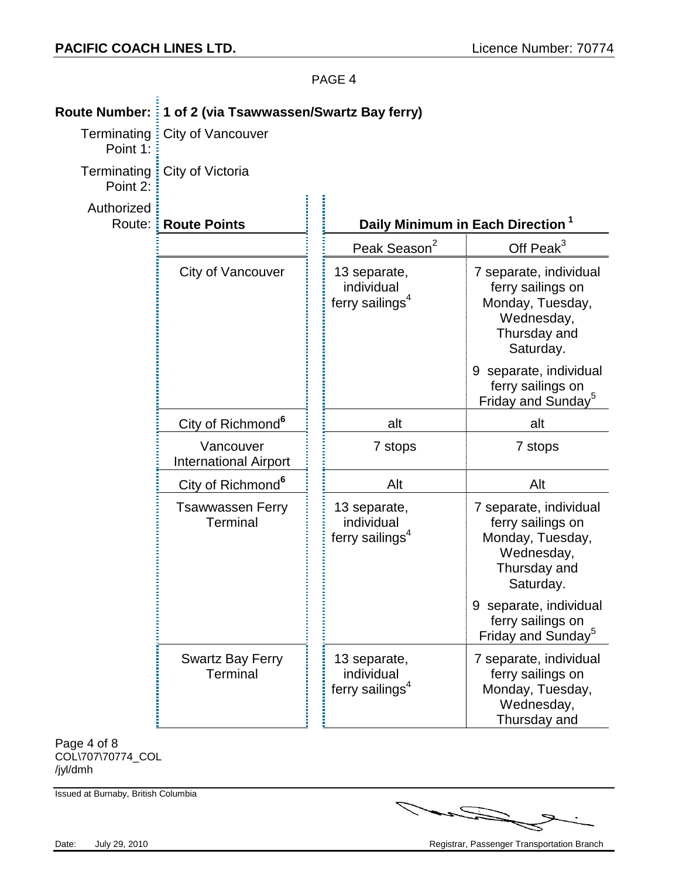| Point 1:             | Terminating: City of Vancouver             |                                                           |                                                                                                            |
|----------------------|--------------------------------------------|-----------------------------------------------------------|------------------------------------------------------------------------------------------------------------|
| Point 2:             | Terminating : City of Victoria             |                                                           |                                                                                                            |
| Authorized<br>Route: | <b>Route Points</b>                        |                                                           | Daily Minimum in Each Direction <sup>1</sup>                                                               |
|                      |                                            | Peak Season <sup>2</sup>                                  | Off Peak $3$                                                                                               |
|                      | City of Vancouver                          | 13 separate,<br>individual<br>ferry sailings <sup>4</sup> | 7 separate, individual<br>ferry sailings on<br>Monday, Tuesday,<br>Wednesday,<br>Thursday and<br>Saturday. |
|                      |                                            |                                                           | 9 separate, individual<br>ferry sailings on<br>Friday and Sunday <sup>5</sup>                              |
|                      | City of Richmond <sup>6</sup>              | alt                                                       | alt                                                                                                        |
|                      | Vancouver<br><b>International Airport</b>  | 7 stops                                                   | 7 stops                                                                                                    |
|                      | City of Richmond <sup>6</sup>              | Alt                                                       | Alt                                                                                                        |
|                      | <b>Tsawwassen Ferry</b><br><b>Terminal</b> | 13 separate,<br>individual<br>ferry sailings <sup>4</sup> | 7 separate, individual<br>ferry sailings on<br>Monday, Tuesday,<br>Wednesday,<br>Thursday and<br>Saturday. |
|                      |                                            |                                                           | 9 separate, individual<br>ferry sailings on<br>Friday and Sunday <sup>5</sup>                              |
|                      | <b>Swartz Bay Ferry</b><br><b>Terminal</b> | 13 separate,<br>individual<br>ferry sailings <sup>4</sup> | 7 separate, individual<br>ferry sailings on<br>Monday, Tuesday,<br>Wednesday,<br>Thursday and              |
| Page 4 of 8          |                                            |                                                           |                                                                                                            |

## **Route Number: 1 of 2 (via Tsawwassen/Swartz Bay ferry)**

COL\707\70774\_COL /jyl/dmh

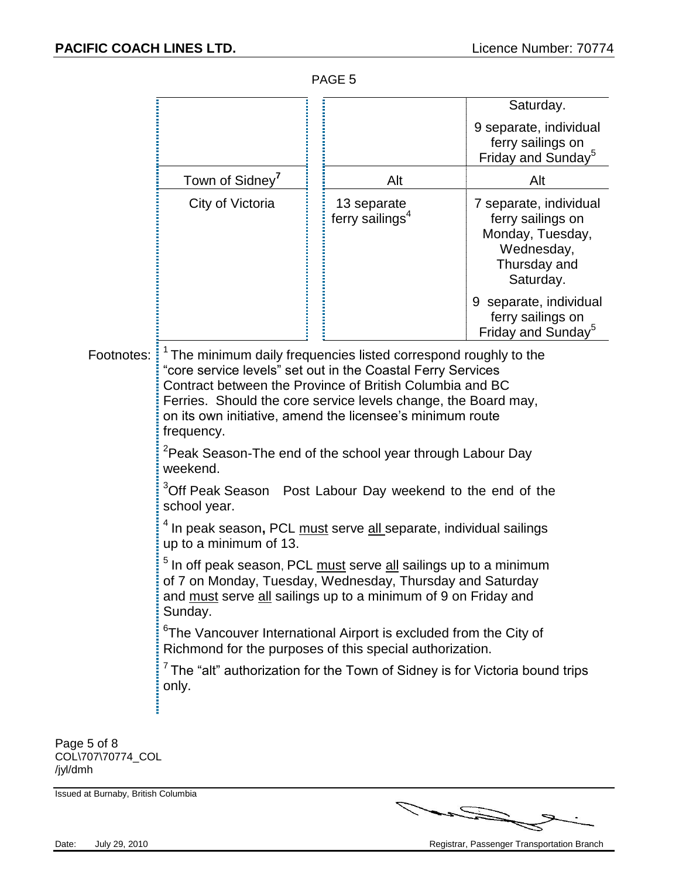|                                  |                                                                                                                                                                                                                                                                                                                                                     |                                            | Saturday.                                                                                                  |  |
|----------------------------------|-----------------------------------------------------------------------------------------------------------------------------------------------------------------------------------------------------------------------------------------------------------------------------------------------------------------------------------------------------|--------------------------------------------|------------------------------------------------------------------------------------------------------------|--|
|                                  |                                                                                                                                                                                                                                                                                                                                                     |                                            | 9 separate, individual<br>ferry sailings on<br>Friday and Sunday <sup>5</sup>                              |  |
|                                  | Town of Sidney <sup>7</sup>                                                                                                                                                                                                                                                                                                                         | Alt                                        | Alt                                                                                                        |  |
|                                  | City of Victoria                                                                                                                                                                                                                                                                                                                                    | 13 separate<br>ferry sailings <sup>4</sup> | 7 separate, individual<br>ferry sailings on<br>Monday, Tuesday,<br>Wednesday,<br>Thursday and<br>Saturday. |  |
|                                  |                                                                                                                                                                                                                                                                                                                                                     |                                            | 9 separate, individual<br>ferry sailings on<br>Friday and Sunday <sup>5</sup>                              |  |
| Footnotes:                       | <sup>1</sup> The minimum daily frequencies listed correspond roughly to the<br>"core service levels" set out in the Coastal Ferry Services<br>Contract between the Province of British Columbia and BC<br>Ferries. Should the core service levels change, the Board may,<br>on its own initiative, amend the licensee's minimum route<br>frequency. |                                            |                                                                                                            |  |
|                                  | <sup>2</sup> Peak Season-The end of the school year through Labour Day<br>weekend.                                                                                                                                                                                                                                                                  |                                            |                                                                                                            |  |
|                                  | <sup>3</sup> Off Peak Season Post Labour Day weekend to the end of the<br>school year.                                                                                                                                                                                                                                                              |                                            |                                                                                                            |  |
|                                  | <sup>1</sup> In peak season, PCL <u>must</u> serve <u>all s</u> eparate, individual sailings<br>up to a minimum of 13.                                                                                                                                                                                                                              |                                            |                                                                                                            |  |
|                                  | <sup>5</sup> In off peak season, PCL <u>must</u> serve <u>all</u> sailings up to a minimum<br>of 7 on Monday, Tuesday, Wednesday, Thursday and Saturday<br>and must serve all sailings up to a minimum of 9 on Friday and<br>Sunday.                                                                                                                |                                            |                                                                                                            |  |
|                                  | <sup>6</sup> The Vancouver International Airport is excluded from the City of<br>Richmond for the purposes of this special authorization.                                                                                                                                                                                                           |                                            |                                                                                                            |  |
|                                  | $7$ The "alt" authorization for the Town of Sidney is for Victoria bound trips<br>only.                                                                                                                                                                                                                                                             |                                            |                                                                                                            |  |
|                                  |                                                                                                                                                                                                                                                                                                                                                     |                                            |                                                                                                            |  |
| Page 5 of 8<br>COL\707\70774_COL |                                                                                                                                                                                                                                                                                                                                                     |                                            |                                                                                                            |  |

/jyl/dmh

Issued at Burnaby, British Columbia



Date: July 29, 2010 July 29, 2010 and the Case of Case of Case of Case of Case of Case of Case of Case of Case of Case of Case of Case of Case of Case of Case of Case of Case of Case of Case of Case of Case of Case of Case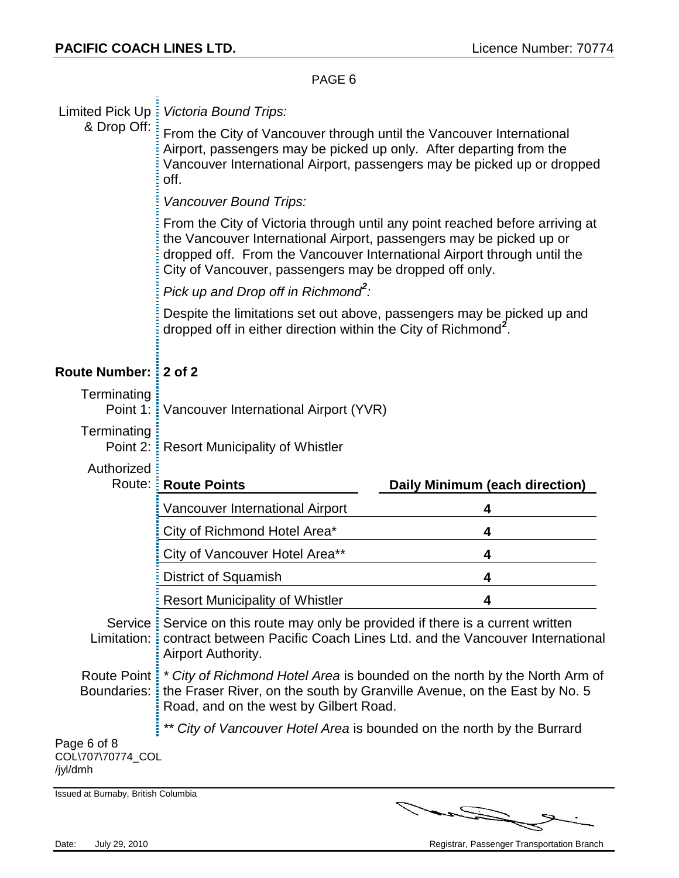|                              | PAGE <sub>6</sub>                                                                                                                                                                                                                                                                        |                                                                        |  |
|------------------------------|------------------------------------------------------------------------------------------------------------------------------------------------------------------------------------------------------------------------------------------------------------------------------------------|------------------------------------------------------------------------|--|
| & Drop Off:                  | Limited Pick Up: Victoria Bound Trips:                                                                                                                                                                                                                                                   |                                                                        |  |
|                              | From the City of Vancouver through until the Vancouver International<br>Airport, passengers may be picked up only. After departing from the<br>Vancouver International Airport, passengers may be picked up or dropped<br>off.                                                           |                                                                        |  |
|                              | Vancouver Bound Trips:                                                                                                                                                                                                                                                                   |                                                                        |  |
|                              | From the City of Victoria through until any point reached before arriving at<br>the Vancouver International Airport, passengers may be picked up or<br>dropped off. From the Vancouver International Airport through until the<br>City of Vancouver, passengers may be dropped off only. |                                                                        |  |
|                              | Pick up and Drop off in Richmond':                                                                                                                                                                                                                                                       |                                                                        |  |
|                              | Despite the limitations set out above, passengers may be picked up and<br>dropped off in either direction within the City of Richmond <sup>2</sup> .                                                                                                                                     |                                                                        |  |
| Route Number: 2 of 2         |                                                                                                                                                                                                                                                                                          |                                                                        |  |
| Terminating<br>Point 1:      | Vancouver International Airport (YVR)                                                                                                                                                                                                                                                    |                                                                        |  |
| Terminating<br>Point 2:      | Resort Municipality of Whistler                                                                                                                                                                                                                                                          |                                                                        |  |
| Authorized<br>Route:         | <b>Route Points</b>                                                                                                                                                                                                                                                                      | Daily Minimum (each direction)                                         |  |
|                              | Vancouver International Airport                                                                                                                                                                                                                                                          | 4                                                                      |  |
|                              | City of Richmond Hotel Area*                                                                                                                                                                                                                                                             | 4                                                                      |  |
|                              | City of Vancouver Hotel Area**                                                                                                                                                                                                                                                           | 4                                                                      |  |
|                              | <b>District of Squamish</b>                                                                                                                                                                                                                                                              | 4                                                                      |  |
|                              | <b>Resort Municipality of Whistler</b>                                                                                                                                                                                                                                                   | 4                                                                      |  |
| Service !<br>Limitation:     | Service on this route may only be provided if there is a current written<br>contract between Pacific Coach Lines Ltd. and the Vancouver International<br>Airport Authority.                                                                                                              |                                                                        |  |
| Route Point !<br>Boundaries: | * City of Richmond Hotel Area is bounded on the north by the North Arm of<br>the Fraser River, on the south by Granville Avenue, on the East by No. 5<br>Road, and on the west by Gilbert Road.                                                                                          |                                                                        |  |
|                              |                                                                                                                                                                                                                                                                                          |                                                                        |  |
| Page 6 of 8                  |                                                                                                                                                                                                                                                                                          | ** City of Vancouver Hotel Area is bounded on the north by the Burrard |  |

Issued at Burnaby, British Columbia

U

J)

 $\mathcal{L}$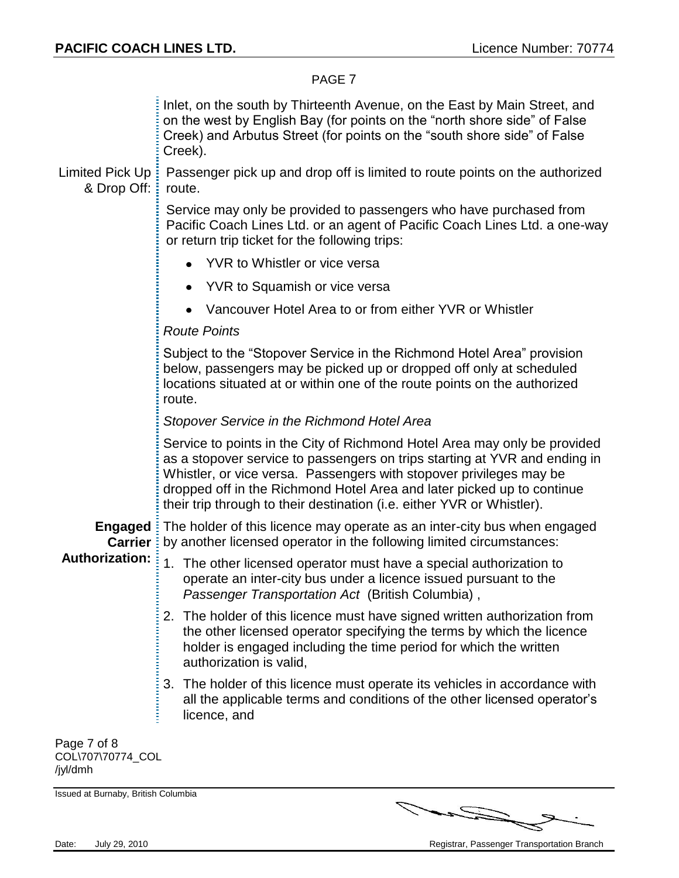Inlet, on the south by Thirteenth Avenue, on the East by Main Street, and on the west by English Bay (for points on the "north shore side" of False Creek) and Arbutus Street (for points on the "south shore side" of False Creek).

Limited Pick Up: & Drop Off: Passenger pick up and drop off is limited to route points on the authorized route.

> Service may only be provided to passengers who have purchased from Pacific Coach Lines Ltd. or an agent of Pacific Coach Lines Ltd. a one-way or return trip ticket for the following trips:

- YVR to Whistler or vice versa
- YVR to Squamish or vice versa  $\bullet$
- Vancouver Hotel Area to or from either YVR or Whistler  $\bullet$

### *Route Points*

Subject to the "Stopover Service in the Richmond Hotel Area" provision below, passengers may be picked up or dropped off only at scheduled locations situated at or within one of the route points on the authorized route.

### *Stopover Service in the Richmond Hotel Area*

Service to points in the City of Richmond Hotel Area may only be provided as a stopover service to passengers on trips starting at YVR and ending in Whistler, or vice versa. Passengers with stopover privileges may be dropped off in the Richmond Hotel Area and later picked up to continue their trip through to their destination (i.e. either YVR or Whistler).

**Engaged**  The holder of this licence may operate as an inter-city bus when engaged **Carrier**: by another licensed operator in the following limited circumstances:

#### **Authorization:** 1. The other licensed operator must have a special authorization to operate an inter-city bus under a licence issued pursuant to the *Passenger Transportation Act* (British Columbia) ,

- 2. The holder of this licence must have signed written authorization from the other licensed operator specifying the terms by which the licence holder is engaged including the time period for which the written authorization is valid,
- 3. The holder of this licence must operate its vehicles in accordance with all the applicable terms and conditions of the other licensed operator's licence, and

Page 7 of 8 COL\707\70774\_COL /jyl/dmh